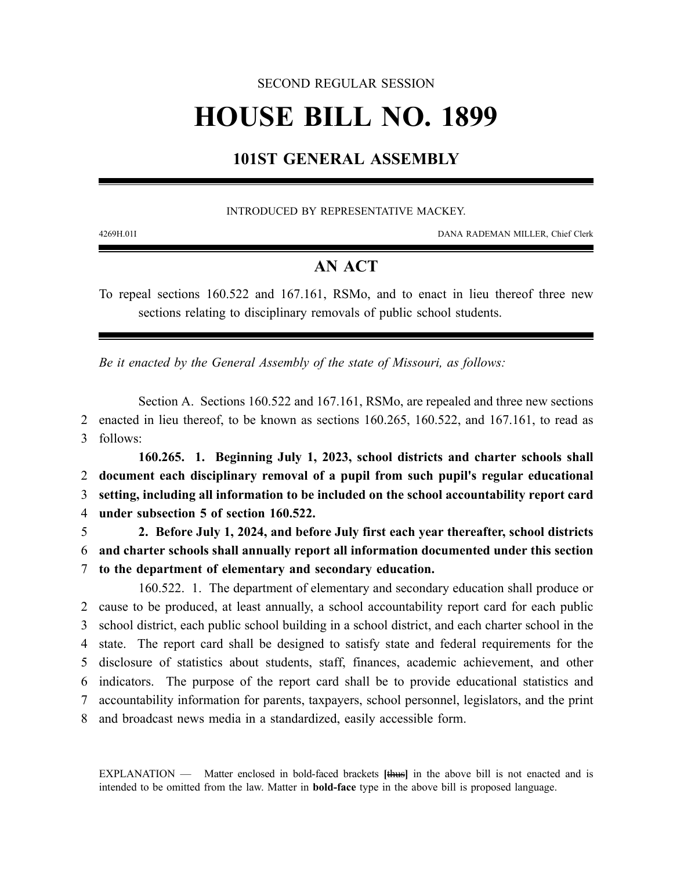## SECOND REGULAR SESSION

# **HOUSE BILL NO. 1899**

# **101ST GENERAL ASSEMBLY**

### INTRODUCED BY REPRESENTATIVE MACKEY.

4269H.01I DANA RADEMAN MILLER, Chief Clerk

## **AN ACT**

To repeal sections 160.522 and 167.161, RSMo, and to enact in lieu thereof three new sections relating to disciplinary removals of public school students.

*Be it enacted by the General Assembly of the state of Missouri, as follows:*

Section A. Sections 160.522 and 167.161, RSMo, are repealed and three new sections 2 enacted in lieu thereof, to be known as sections 160.265, 160.522, and 167.161, to read as 3 follows:

**160.265. 1. Beginning July 1, 2023, school districts and charter schools shall document each disciplinary removal of a pupil from such pupil's regular educational setting, including all information to be included on the school accountability report card under subsection 5 of section 160.522.**

5 **2. Before July 1, 2024, and before July first each year thereafter, school districts** 6 **and charter schools shall annually report all information documented under this section** 7 **to the department of elementary and secondary education.**

160.522. 1. The department of elementary and secondary education shall produce or cause to be produced, at least annually, a school accountability report card for each public school district, each public school building in a school district, and each charter school in the state. The report card shall be designed to satisfy state and federal requirements for the disclosure of statistics about students, staff, finances, academic achievement, and other indicators. The purpose of the report card shall be to provide educational statistics and accountability information for parents, taxpayers, school personnel, legislators, and the print and broadcast news media in a standardized, easily accessible form.

EXPLANATION — Matter enclosed in bold-faced brackets **[**thus**]** in the above bill is not enacted and is intended to be omitted from the law. Matter in **bold-face** type in the above bill is proposed language.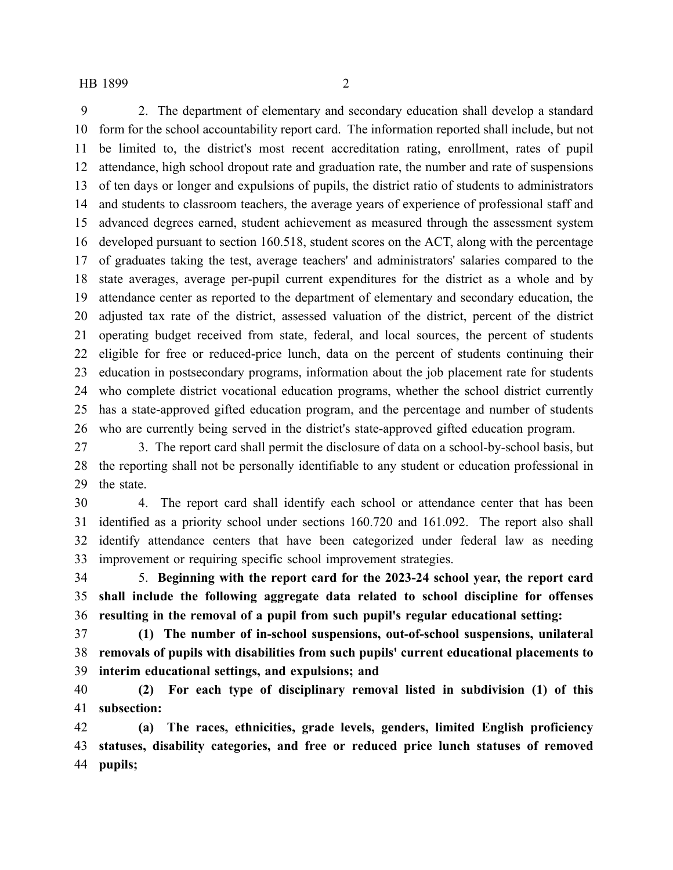#### HB 1899 2

 2. The department of elementary and secondary education shall develop a standard form for the school accountability report card. The information reported shall include, but not be limited to, the district's most recent accreditation rating, enrollment, rates of pupil attendance, high school dropout rate and graduation rate, the number and rate of suspensions of ten days or longer and expulsions of pupils, the district ratio of students to administrators and students to classroom teachers, the average years of experience of professional staff and advanced degrees earned, student achievement as measured through the assessment system developed pursuant to section 160.518, student scores on the ACT, along with the percentage of graduates taking the test, average teachers' and administrators' salaries compared to the state averages, average per-pupil current expenditures for the district as a whole and by attendance center as reported to the department of elementary and secondary education, the adjusted tax rate of the district, assessed valuation of the district, percent of the district operating budget received from state, federal, and local sources, the percent of students eligible for free or reduced-price lunch, data on the percent of students continuing their education in postsecondary programs, information about the job placement rate for students who complete district vocational education programs, whether the school district currently has a state-approved gifted education program, and the percentage and number of students who are currently being served in the district's state-approved gifted education program.

 3. The report card shall permit the disclosure of data on a school-by-school basis, but the reporting shall not be personally identifiable to any student or education professional in the state.

 4. The report card shall identify each school or attendance center that has been identified as a priority school under sections 160.720 and 161.092. The report also shall identify attendance centers that have been categorized under federal law as needing improvement or requiring specific school improvement strategies.

 5. **Beginning with the report card for the 2023-24 school year, the report card shall include the following aggregate data related to school discipline for offenses resulting in the removal of a pupil from such pupil's regular educational setting:**

 **(1) The number of in-school suspensions, out-of-school suspensions, unilateral removals of pupils with disabilities from such pupils' current educational placements to interim educational settings, and expulsions; and**

 **(2) For each type of disciplinary removal listed in subdivision (1) of this subsection:**

 **(a) The races, ethnicities, grade levels, genders, limited English proficiency statuses, disability categories, and free or reduced price lunch statuses of removed pupils;**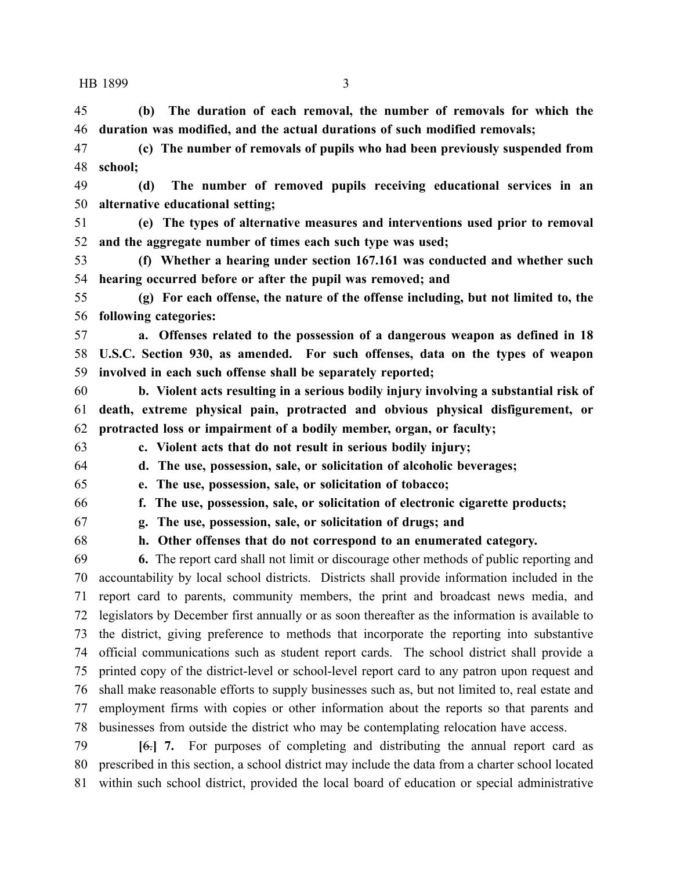**(b) The duration of each removal, the number of removals for which the duration was modified, and the actual durations of such modified removals;**

 **(c) The number of removals of pupils who had been previously suspended from school;**

 **(d) The number of removed pupils receiving educational services in an alternative educational setting;**

 **(e) The types of alternative measures and interventions used prior to removal and the aggregate number of times each such type was used;**

 **(f) Whether a hearing under section 167.161 was conducted and whether such hearing occurred before or after the pupil was removed; and**

 **(g) For each offense, the nature of the offense including, but not limited to, the following categories:**

 **a. Offenses related to the possession of a dangerous weapon as defined in 18 U.S.C. Section 930, as amended. For such offenses, data on the types of weapon involved in each such offense shall be separately reported;**

 **b. Violent acts resulting in a serious bodily injury involving a substantial risk of death, extreme physical pain, protracted and obvious physical disfigurement, or protracted loss or impairment of a bodily member, organ, or faculty;**

**c. Violent acts that do not result in serious bodily injury;**

 **d. The use, possession, sale, or solicitation of alcoholic beverages; e. The use, possession, sale, or solicitation of tobacco;**

**f. The use, possession, sale, or solicitation of electronic cigarette products;**

**g. The use, possession, sale, or solicitation of drugs; and**

**h. Other offenses that do not correspond to an enumerated category.**

 **6.** The report card shall not limit or discourage other methods of public reporting and accountability by local school districts. Districts shall provide information included in the report card to parents, community members, the print and broadcast news media, and legislators by December first annually or as soon thereafter as the information is available to the district, giving preference to methods that incorporate the reporting into substantive official communications such as student report cards. The school district shall provide a printed copy of the district-level or school-level report card to any patron upon request and shall make reasonable efforts to supply businesses such as, but not limited to, real estate and employment firms with copies or other information about the reports so that parents and businesses from outside the district who may be contemplating relocation have access.

 **[**6.**] 7.** For purposes of completing and distributing the annual report card as prescribed in this section, a school district may include the data from a charter school located within such school district, provided the local board of education or special administrative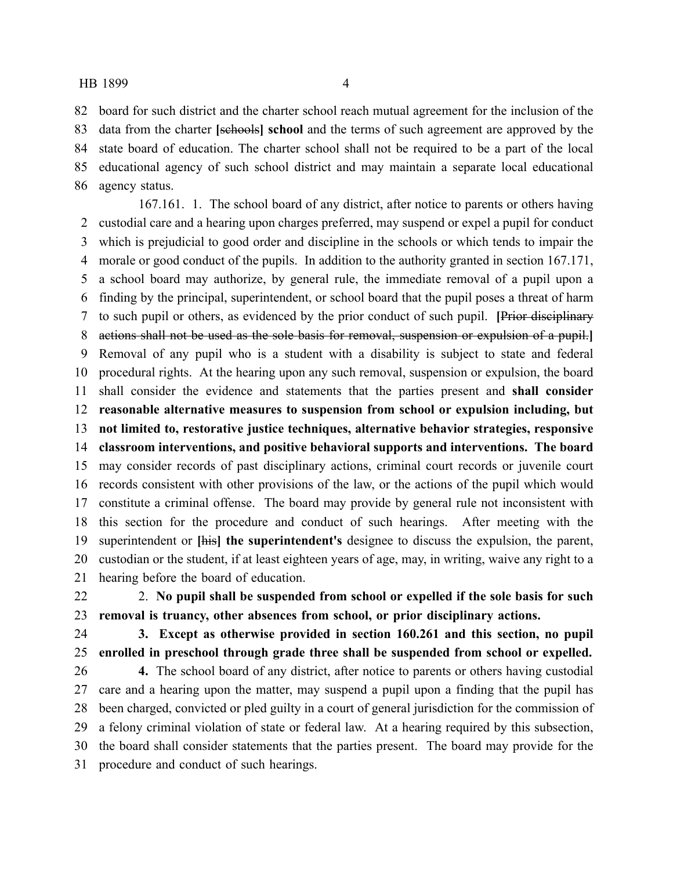### HB 1899 4

 board for such district and the charter school reach mutual agreement for the inclusion of the data from the charter **[**schools**] school** and the terms of such agreement are approved by the state board of education. The charter school shall not be required to be a part of the local educational agency of such school district and may maintain a separate local educational agency status.

167.161. 1. The school board of any district, after notice to parents or others having custodial care and a hearing upon charges preferred, may suspend or expel a pupil for conduct which is prejudicial to good order and discipline in the schools or which tends to impair the morale or good conduct of the pupils. In addition to the authority granted in section 167.171, a school board may authorize, by general rule, the immediate removal of a pupil upon a finding by the principal, superintendent, or school board that the pupil poses a threat of harm to such pupil or others, as evidenced by the prior conduct of such pupil. **[**Prior disciplinary actions shall not be used as the sole basis for removal, suspension or expulsion of a pupil.**]** Removal of any pupil who is a student with a disability is subject to state and federal procedural rights. At the hearing upon any such removal, suspension or expulsion, the board shall consider the evidence and statements that the parties present and **shall consider reasonable alternative measures to suspension from school or expulsion including, but not limited to, restorative justice techniques, alternative behavior strategies, responsive classroom interventions, and positive behavioral supports and interventions. The board** may consider records of past disciplinary actions, criminal court records or juvenile court records consistent with other provisions of the law, or the actions of the pupil which would constitute a criminal offense. The board may provide by general rule not inconsistent with this section for the procedure and conduct of such hearings. After meeting with the superintendent or **[**his**] the superintendent's** designee to discuss the expulsion, the parent, custodian or the student, if at least eighteen years of age, may, in writing, waive any right to a hearing before the board of education.

 2. **No pupil shall be suspended from school or expelled if the sole basis for such removal is truancy, other absences from school, or prior disciplinary actions.**

- 
- 

 **3. Except as otherwise provided in section 160.261 and this section, no pupil enrolled in preschool through grade three shall be suspended from school or expelled. 4.** The school board of any district, after notice to parents or others having custodial

 care and a hearing upon the matter, may suspend a pupil upon a finding that the pupil has been charged, convicted or pled guilty in a court of general jurisdiction for the commission of a felony criminal violation of state or federal law. At a hearing required by this subsection, the board shall consider statements that the parties present. The board may provide for the procedure and conduct of such hearings.